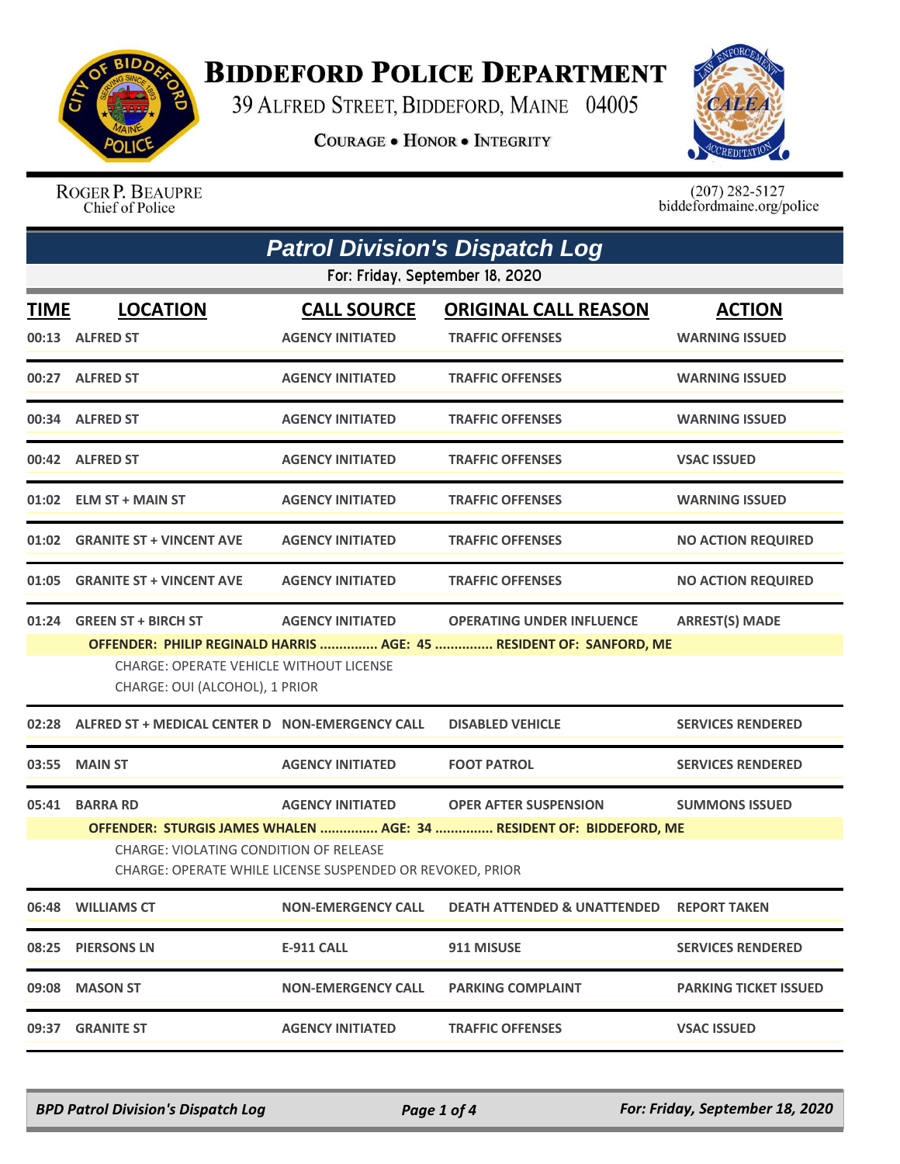

## **BIDDEFORD POLICE DEPARTMENT**

39 ALFRED STREET, BIDDEFORD, MAINE 04005

**COURAGE . HONOR . INTEGRITY** 



ROGER P. BEAUPRE Chief of Police

 $(207)$  282-5127<br>biddefordmaine.org/police

| <b>Patrol Division's Dispatch Log</b> |                                                                                                                                                                                                                                                                                          |                                               |                                                                                                         |                                        |  |
|---------------------------------------|------------------------------------------------------------------------------------------------------------------------------------------------------------------------------------------------------------------------------------------------------------------------------------------|-----------------------------------------------|---------------------------------------------------------------------------------------------------------|----------------------------------------|--|
| For: Friday, September 18, 2020       |                                                                                                                                                                                                                                                                                          |                                               |                                                                                                         |                                        |  |
| <b>TIME</b>                           | <b>LOCATION</b><br>00:13 ALFRED ST                                                                                                                                                                                                                                                       | <b>CALL SOURCE</b><br><b>AGENCY INITIATED</b> | <b>ORIGINAL CALL REASON</b><br><b>TRAFFIC OFFENSES</b>                                                  | <b>ACTION</b><br><b>WARNING ISSUED</b> |  |
|                                       | 00:27 ALFRED ST                                                                                                                                                                                                                                                                          | <b>AGENCY INITIATED</b>                       | <b>TRAFFIC OFFENSES</b>                                                                                 | <b>WARNING ISSUED</b>                  |  |
|                                       | 00:34 ALFRED ST                                                                                                                                                                                                                                                                          | <b>AGENCY INITIATED</b>                       | <b>TRAFFIC OFFENSES</b>                                                                                 | <b>WARNING ISSUED</b>                  |  |
|                                       | 00:42 ALFRED ST                                                                                                                                                                                                                                                                          | <b>AGENCY INITIATED</b>                       | <b>TRAFFIC OFFENSES</b>                                                                                 | <b>VSAC ISSUED</b>                     |  |
|                                       | 01:02 ELM ST + MAIN ST                                                                                                                                                                                                                                                                   | <b>AGENCY INITIATED</b>                       | <b>TRAFFIC OFFENSES</b>                                                                                 | <b>WARNING ISSUED</b>                  |  |
|                                       | 01:02 GRANITE ST + VINCENT AVE                                                                                                                                                                                                                                                           | <b>AGENCY INITIATED</b>                       | <b>TRAFFIC OFFENSES</b>                                                                                 | <b>NO ACTION REQUIRED</b>              |  |
| 01:05                                 | <b>GRANITE ST + VINCENT AVE</b>                                                                                                                                                                                                                                                          | <b>AGENCY INITIATED</b>                       | <b>TRAFFIC OFFENSES</b>                                                                                 | <b>NO ACTION REQUIRED</b>              |  |
|                                       | 01:24 GREEN ST + BIRCH ST<br><b>CHARGE: OPERATE VEHICLE WITHOUT LICENSE</b><br>CHARGE: OUI (ALCOHOL), 1 PRIOR                                                                                                                                                                            | <b>AGENCY INITIATED</b>                       | <b>OPERATING UNDER INFLUENCE</b><br>OFFENDER: PHILIP REGINALD HARRIS  AGE: 45  RESIDENT OF: SANFORD, ME | <b>ARREST(S) MADE</b>                  |  |
| 02:28                                 | ALFRED ST + MEDICAL CENTER D NON-EMERGENCY CALL                                                                                                                                                                                                                                          |                                               | <b>DISABLED VEHICLE</b>                                                                                 | <b>SERVICES RENDERED</b>               |  |
| 03:55                                 | <b>MAIN ST</b>                                                                                                                                                                                                                                                                           | <b>AGENCY INITIATED</b>                       | <b>FOOT PATROL</b>                                                                                      | <b>SERVICES RENDERED</b>               |  |
| 05:41                                 | <b>BARRA RD</b><br><b>AGENCY INITIATED</b><br><b>OPER AFTER SUSPENSION</b><br><b>SUMMONS ISSUED</b><br>OFFENDER: STURGIS JAMES WHALEN  AGE: 34  RESIDENT OF: BIDDEFORD, ME<br><b>CHARGE: VIOLATING CONDITION OF RELEASE</b><br>CHARGE: OPERATE WHILE LICENSE SUSPENDED OR REVOKED, PRIOR |                                               |                                                                                                         |                                        |  |
|                                       | 06:48 WILLIAMS CT                                                                                                                                                                                                                                                                        | <b>NON-EMERGENCY CALL</b>                     | <b>DEATH ATTENDED &amp; UNATTENDED</b>                                                                  | <b>REPORT TAKEN</b>                    |  |
|                                       | 08:25 PIERSONS LN                                                                                                                                                                                                                                                                        | <b>E-911 CALL</b>                             | 911 MISUSE                                                                                              | <b>SERVICES RENDERED</b>               |  |
|                                       | 09:08 MASON ST                                                                                                                                                                                                                                                                           | <b>NON-EMERGENCY CALL</b>                     | <b>PARKING COMPLAINT</b>                                                                                | <b>PARKING TICKET ISSUED</b>           |  |
| 09:37                                 | <b>GRANITE ST</b>                                                                                                                                                                                                                                                                        | <b>AGENCY INITIATED</b>                       | <b>TRAFFIC OFFENSES</b>                                                                                 | <b>VSAC ISSUED</b>                     |  |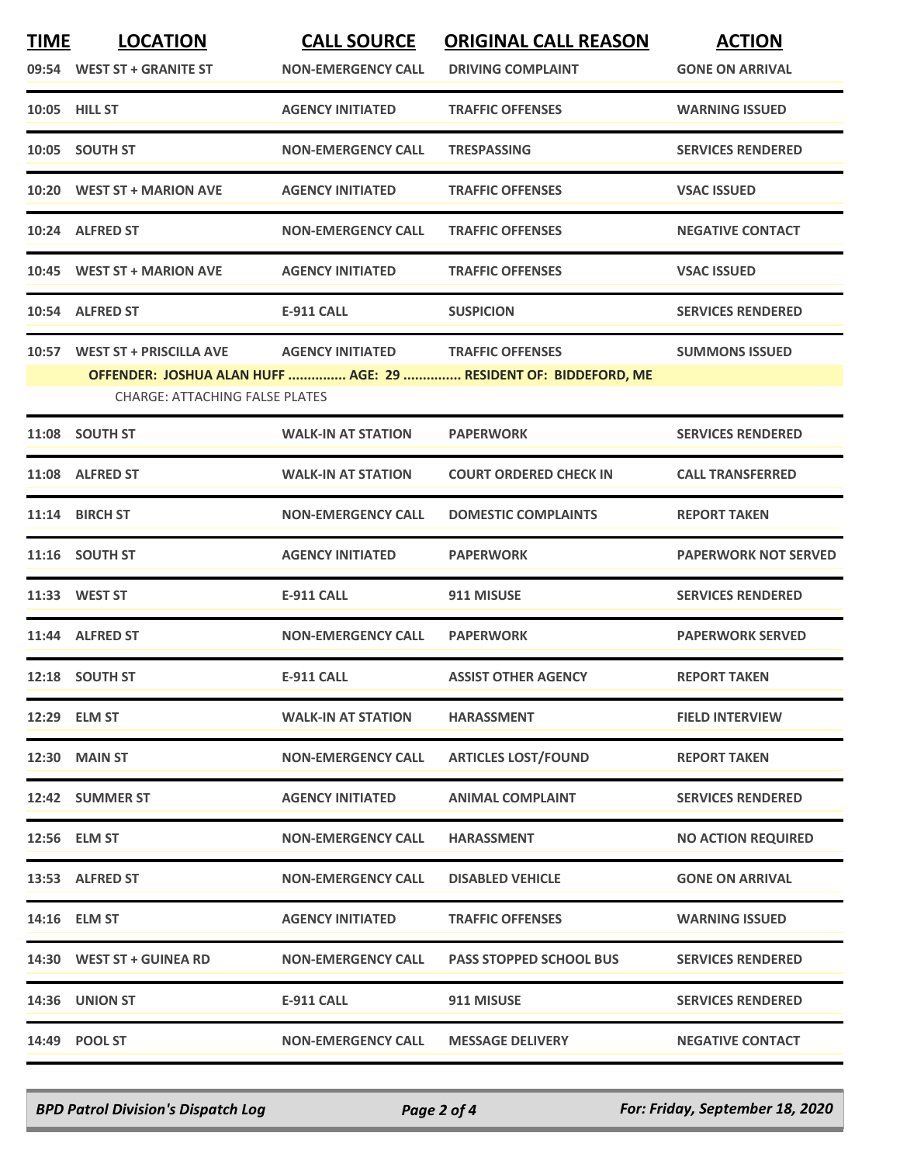| <b>TIME</b> | <b>LOCATION</b>                                                 | <b>CALL SOURCE</b>        | <b>ORIGINAL CALL REASON</b>                                     | <b>ACTION</b>               |
|-------------|-----------------------------------------------------------------|---------------------------|-----------------------------------------------------------------|-----------------------------|
|             | 09:54 WEST ST + GRANITE ST                                      | <b>NON-EMERGENCY CALL</b> | <b>DRIVING COMPLAINT</b>                                        | <b>GONE ON ARRIVAL</b>      |
|             | 10:05 HILL ST                                                   | <b>AGENCY INITIATED</b>   | <b>TRAFFIC OFFENSES</b>                                         | <b>WARNING ISSUED</b>       |
|             | 10:05 SOUTH ST                                                  | <b>NON-EMERGENCY CALL</b> | <b>TRESPASSING</b>                                              | <b>SERVICES RENDERED</b>    |
|             | 10:20 WEST ST + MARION AVE                                      | <b>AGENCY INITIATED</b>   | <b>TRAFFIC OFFENSES</b>                                         | <b>VSAC ISSUED</b>          |
|             | 10:24 ALFRED ST                                                 | <b>NON-EMERGENCY CALL</b> | <b>TRAFFIC OFFENSES</b>                                         | <b>NEGATIVE CONTACT</b>     |
|             | 10:45 WEST ST + MARION AVE                                      | <b>AGENCY INITIATED</b>   | <b>TRAFFIC OFFENSES</b>                                         | <b>VSAC ISSUED</b>          |
|             | 10:54 ALFRED ST                                                 | <b>E-911 CALL</b>         | <b>SUSPICION</b>                                                | <b>SERVICES RENDERED</b>    |
|             | 10:57 WEST ST + PRISCILLA AVE AGENCY INITIATED TRAFFIC OFFENSES |                           |                                                                 | <b>SUMMONS ISSUED</b>       |
|             |                                                                 |                           | OFFENDER: JOSHUA ALAN HUFF  AGE: 29  RESIDENT OF: BIDDEFORD, ME |                             |
|             | <b>CHARGE: ATTACHING FALSE PLATES</b>                           |                           |                                                                 |                             |
|             | 11:08 SOUTH ST                                                  | <b>WALK-IN AT STATION</b> | <b>PAPERWORK</b>                                                | <b>SERVICES RENDERED</b>    |
|             | 11:08 ALFRED ST                                                 | <b>WALK-IN AT STATION</b> | <b>COURT ORDERED CHECK IN</b>                                   | <b>CALL TRANSFERRED</b>     |
|             | 11:14 BIRCH ST                                                  | <b>NON-EMERGENCY CALL</b> | <b>DOMESTIC COMPLAINTS</b>                                      | <b>REPORT TAKEN</b>         |
|             | 11:16 SOUTH ST                                                  | <b>AGENCY INITIATED</b>   | <b>PAPERWORK</b>                                                | <b>PAPERWORK NOT SERVED</b> |
|             | 11:33 WEST ST                                                   | <b>E-911 CALL</b>         | 911 MISUSE                                                      | <b>SERVICES RENDERED</b>    |
|             | 11:44 ALFRED ST                                                 | <b>NON-EMERGENCY CALL</b> | <b>PAPERWORK</b>                                                | <b>PAPERWORK SERVED</b>     |
|             | 12:18 SOUTH ST                                                  | <b>E-911 CALL</b>         | <b>ASSIST OTHER AGENCY</b>                                      | <b>REPORT TAKEN</b>         |
|             | 12:29 ELM ST                                                    | <b>WALK-IN AT STATION</b> | <b>HARASSMENT</b>                                               | <b>FIELD INTERVIEW</b>      |
|             | <b>12:30 MAIN ST</b>                                            | <b>NON-EMERGENCY CALL</b> | <b>ARTICLES LOST/FOUND</b>                                      | <b>REPORT TAKEN</b>         |
|             | 12:42 SUMMER ST                                                 | <b>AGENCY INITIATED</b>   | <b>ANIMAL COMPLAINT</b>                                         | <b>SERVICES RENDERED</b>    |
|             | 12:56 ELM ST                                                    | <b>NON-EMERGENCY CALL</b> | <b>HARASSMENT</b>                                               | <b>NO ACTION REQUIRED</b>   |
|             | 13:53 ALFRED ST                                                 | <b>NON-EMERGENCY CALL</b> | <b>DISABLED VEHICLE</b>                                         | <b>GONE ON ARRIVAL</b>      |
|             | 14:16 ELM ST                                                    | <b>AGENCY INITIATED</b>   | <b>TRAFFIC OFFENSES</b>                                         | <b>WARNING ISSUED</b>       |
|             | 14:30 WEST ST + GUINEA RD                                       | <b>NON-EMERGENCY CALL</b> | <b>PASS STOPPED SCHOOL BUS</b>                                  | <b>SERVICES RENDERED</b>    |
|             | 14:36 UNION ST                                                  | <b>E-911 CALL</b>         | 911 MISUSE                                                      | <b>SERVICES RENDERED</b>    |
|             | 14:49 POOL ST                                                   | <b>NON-EMERGENCY CALL</b> | <b>MESSAGE DELIVERY</b>                                         | <b>NEGATIVE CONTACT</b>     |
|             |                                                                 |                           |                                                                 |                             |

*BPD Patrol Division's Dispatch Log Page 2 of 4 For: Friday, September 18, 2020*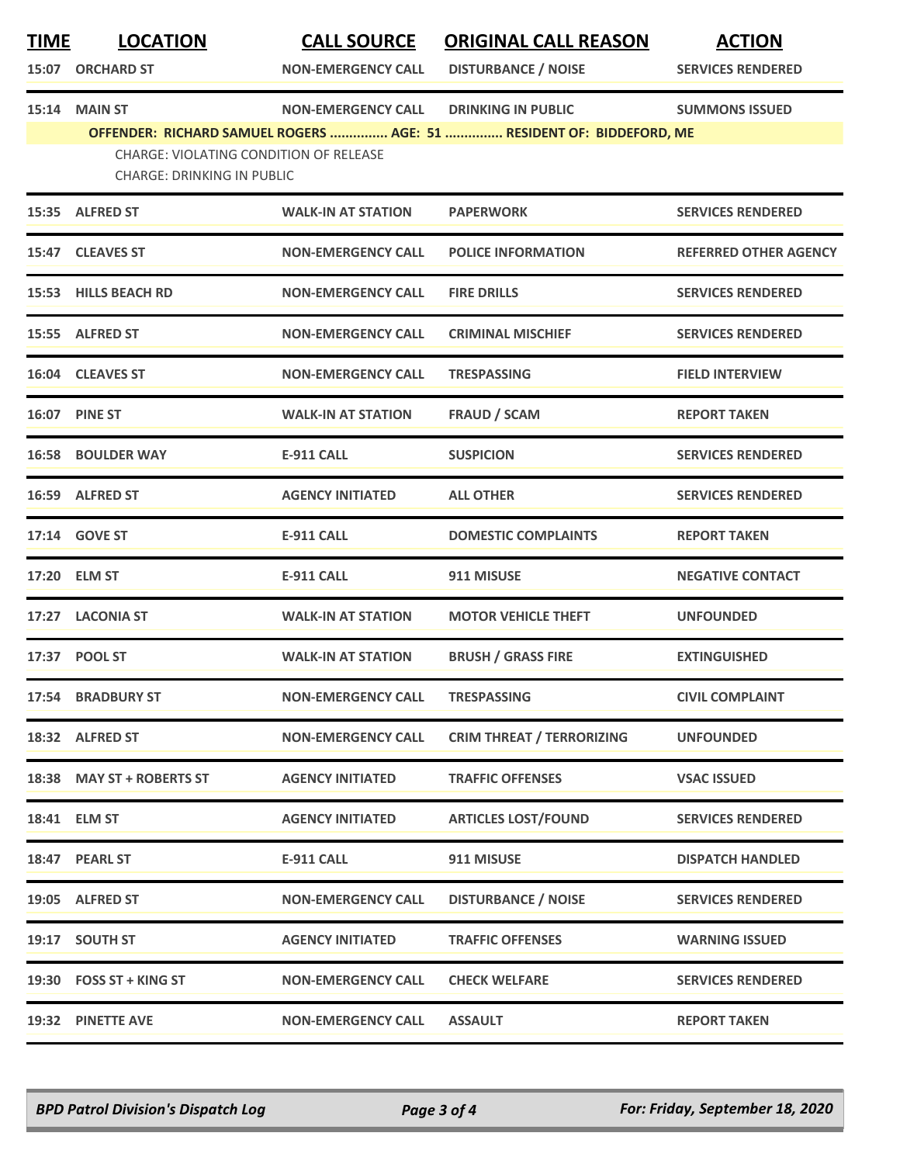| <b>TIME</b> | <b>LOCATION</b><br>15:07 ORCHARD ST | <b>CALL SOURCE</b><br><b>NON-EMERGENCY CALL</b> | <b>ORIGINAL CALL REASON</b><br><b>DISTURBANCE / NOISE</b>            | <b>ACTION</b><br><b>SERVICES RENDERED</b> |
|-------------|-------------------------------------|-------------------------------------------------|----------------------------------------------------------------------|-------------------------------------------|
|             | 15:14 MAIN ST                       | <b>NON-EMERGENCY CALL</b>                       | <b>DRINKING IN PUBLIC</b>                                            | <b>SUMMONS ISSUED</b>                     |
|             | <b>CHARGE: DRINKING IN PUBLIC</b>   | CHARGE: VIOLATING CONDITION OF RELEASE          | OFFENDER: RICHARD SAMUEL ROGERS  AGE: 51  RESIDENT OF: BIDDEFORD, ME |                                           |
|             | 15:35 ALFRED ST                     | <b>WALK-IN AT STATION</b>                       | <b>PAPERWORK</b>                                                     | <b>SERVICES RENDERED</b>                  |
|             | 15:47 CLEAVES ST                    | <b>NON-EMERGENCY CALL</b>                       | <b>POLICE INFORMATION</b>                                            | <b>REFERRED OTHER AGENCY</b>              |
| 15:53       | <b>HILLS BEACH RD</b>               | <b>NON-EMERGENCY CALL</b>                       | <b>FIRE DRILLS</b>                                                   | <b>SERVICES RENDERED</b>                  |
|             | 15:55 ALFRED ST                     | <b>NON-EMERGENCY CALL</b>                       | <b>CRIMINAL MISCHIEF</b>                                             | <b>SERVICES RENDERED</b>                  |
|             | 16:04 CLEAVES ST                    | <b>NON-EMERGENCY CALL</b>                       | <b>TRESPASSING</b>                                                   | <b>FIELD INTERVIEW</b>                    |
|             | 16:07 PINE ST                       | <b>WALK-IN AT STATION</b>                       | <b>FRAUD / SCAM</b>                                                  | <b>REPORT TAKEN</b>                       |
|             | 16:58 BOULDER WAY                   | <b>E-911 CALL</b>                               | <b>SUSPICION</b>                                                     | <b>SERVICES RENDERED</b>                  |
|             | 16:59 ALFRED ST                     | <b>AGENCY INITIATED</b>                         | <b>ALL OTHER</b>                                                     | <b>SERVICES RENDERED</b>                  |
|             | 17:14 GOVE ST                       | <b>E-911 CALL</b>                               | <b>DOMESTIC COMPLAINTS</b>                                           | <b>REPORT TAKEN</b>                       |
|             | 17:20 ELM ST                        | <b>E-911 CALL</b>                               | 911 MISUSE                                                           | <b>NEGATIVE CONTACT</b>                   |
|             | 17:27 LACONIA ST                    | <b>WALK-IN AT STATION</b>                       | <b>MOTOR VEHICLE THEFT</b>                                           | <b>UNFOUNDED</b>                          |
|             | 17:37 POOL ST                       | <b>WALK-IN AT STATION</b>                       | <b>BRUSH / GRASS FIRE</b>                                            | <b>EXTINGUISHED</b>                       |
|             | 17:54 BRADBURY ST                   | <b>NON-EMERGENCY CALL</b>                       | <b>TRESPASSING</b>                                                   | <b>CIVIL COMPLAINT</b>                    |
|             | 18:32 ALFRED ST                     | NON-EMERGENCY CALL                              | <b>CRIM THREAT / TERRORIZING</b>                                     | <b>UNFOUNDED</b>                          |
|             | 18:38 MAY ST + ROBERTS ST           | <b>AGENCY INITIATED</b>                         | <b>TRAFFIC OFFENSES</b>                                              | <b>VSAC ISSUED</b>                        |
|             | 18:41 ELM ST                        | <b>AGENCY INITIATED</b>                         | <b>ARTICLES LOST/FOUND</b>                                           | <b>SERVICES RENDERED</b>                  |
|             | 18:47 PEARL ST                      | E-911 CALL                                      | 911 MISUSE                                                           | <b>DISPATCH HANDLED</b>                   |
|             | 19:05 ALFRED ST                     | NON-EMERGENCY CALL                              | <b>DISTURBANCE / NOISE</b>                                           | <b>SERVICES RENDERED</b>                  |
|             | 19:17 SOUTH ST                      | <b>AGENCY INITIATED</b>                         | <b>TRAFFIC OFFENSES</b>                                              | <b>WARNING ISSUED</b>                     |
|             | 19:30 FOSS ST + KING ST             | NON-EMERGENCY CALL                              | <b>CHECK WELFARE</b>                                                 | <b>SERVICES RENDERED</b>                  |
|             | 19:32 PINETTE AVE                   | <b>NON-EMERGENCY CALL</b>                       | <b>ASSAULT</b>                                                       | <b>REPORT TAKEN</b>                       |